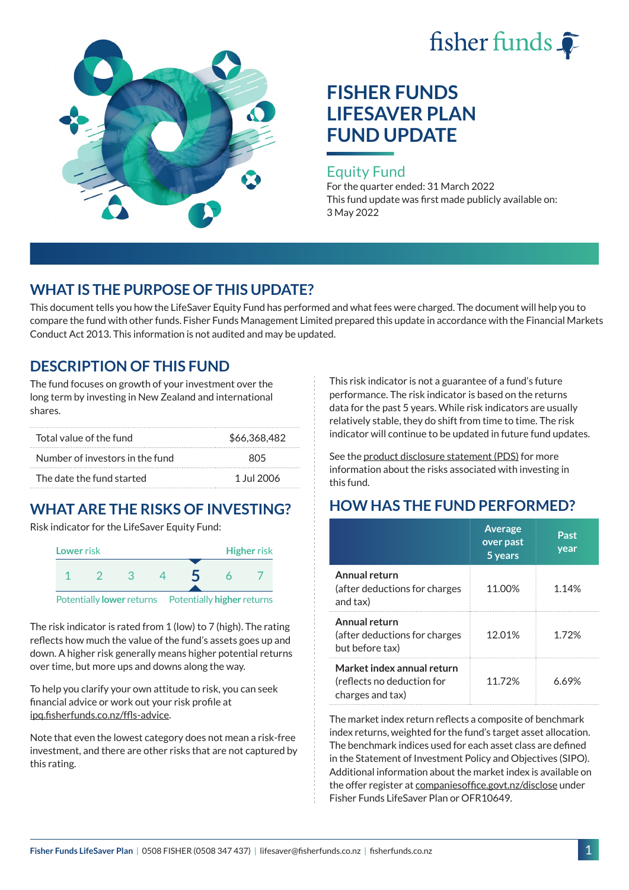# fisher funds



# **FISHER FUNDS LIFESAVER PLAN FUND UPDATE**

#### Equity Fund

For the quarter ended: 31 March 2022 This fund update was first made publicly available on: 3 May 2022

## **WHAT IS THE PURPOSE OF THIS UPDATE?**

This document tells you how the LifeSaver Equity Fund has performed and what fees were charged. The document will help you to compare the fund with other funds. Fisher Funds Management Limited prepared this update in accordance with the Financial Markets Conduct Act 2013. This information is not audited and may be updated.

## **DESCRIPTION OF THIS FUND**

The fund focuses on growth of your investment over the long term by investing in New Zealand and international shares.

| Total value of the fund         | \$66,368,482 |  |
|---------------------------------|--------------|--|
| Number of investors in the fund | 805          |  |
| The date the fund started       | 1 Jul 2006   |  |

## **WHAT ARE THE RISKS OF INVESTING?**

Risk indicator for the LifeSaver Equity Fund:



The risk indicator is rated from 1 (low) to 7 (high). The rating reflects how much the value of the fund's assets goes up and down. A higher risk generally means higher potential returns over time, but more ups and downs along the way.

To help you clarify your own attitude to risk, you can seek financial advice or work out your risk profile at [ipq.fisherfunds.co.nz/ffls-advice](https://ipq.fisherfunds.co.nz/ffls-advice).

Note that even the lowest category does not mean a risk-free investment, and there are other risks that are not captured by this rating.

This risk indicator is not a guarantee of a fund's future performance. The risk indicator is based on the returns data for the past 5 years. While risk indicators are usually relatively stable, they do shift from time to time. The risk indicator will continue to be updated in future fund updates.

See the [product disclosure statement \(PDS\)](https://fisherfunds.co.nz/assets/PDS/Fisher-Funds-LifeSaver-Plan-PDS.pdf) for more information about the risks associated with investing in this fund.

## **HOW HAS THE FUND PERFORMED?**

|                                                                              | <b>Average</b><br>over past<br>5 years | Past<br>year |
|------------------------------------------------------------------------------|----------------------------------------|--------------|
| Annual return<br>(after deductions for charges<br>and tax)                   | 11.00%                                 | 1.14%        |
| Annual return<br>(after deductions for charges<br>but before tax)            | 12.01%                                 | 1.72%        |
| Market index annual return<br>(reflects no deduction for<br>charges and tax) | 11 72%                                 | 6.69%        |

The market index return reflects a composite of benchmark index returns, weighted for the fund's target asset allocation. The benchmark indices used for each asset class are defined in the Statement of Investment Policy and Objectives (SIPO). Additional information about the market index is available on the offer register at [companiesoffice.govt.nz/disclose](http://companiesoffice.govt.nz/disclose) under Fisher Funds LifeSaver Plan or OFR10649.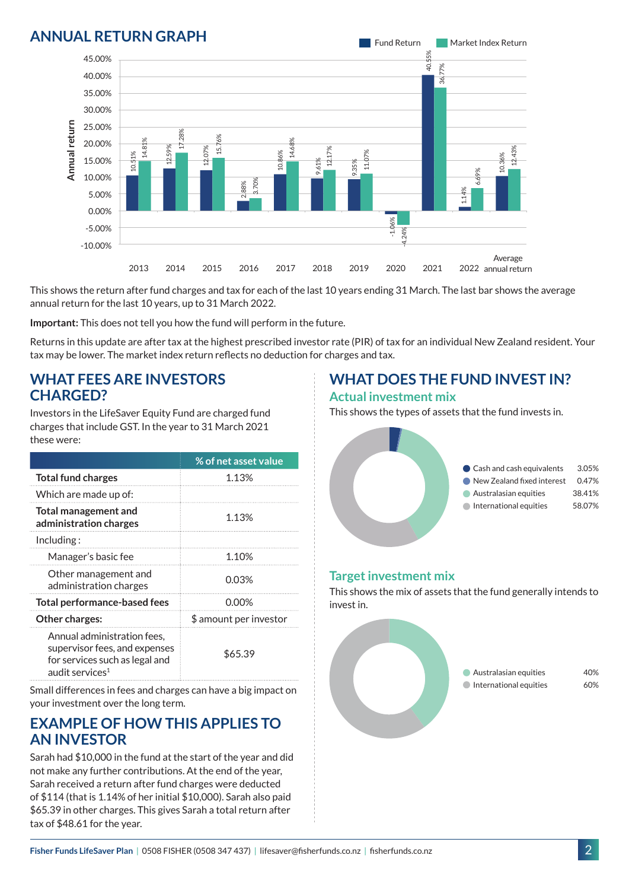

This shows the return after fund charges and tax for each of the last 10 years ending 31 March. The last bar shows the average annual return for the last 10 years, up to 31 March 2022.

**Important:** This does not tell you how the fund will perform in the future.

Returns in this update are after tax at the highest prescribed investor rate (PIR) of tax for an individual New Zealand resident. Your tax may be lower. The market index return reflects no deduction for charges and tax.

#### **WHAT FEES ARE INVESTORS CHARGED?**

Investors in the LifeSaver Equity Fund are charged fund charges that include GST. In the year to 31 March 2021 these were:

|                                                                                                                               | % of net asset value   |  |
|-------------------------------------------------------------------------------------------------------------------------------|------------------------|--|
| <b>Total fund charges</b>                                                                                                     | 1.13%                  |  |
| Which are made up of:                                                                                                         |                        |  |
| Total management and<br>administration charges                                                                                | 1.13%                  |  |
| Including:                                                                                                                    |                        |  |
| Manager's basic fee                                                                                                           | 1.10%                  |  |
| Other management and<br>administration charges                                                                                | 0.03%                  |  |
| <b>Total performance-based fees</b>                                                                                           | 0.00%                  |  |
| Other charges:                                                                                                                | \$ amount per investor |  |
| Annual administration fees,<br>supervisor fees, and expenses<br>for services such as legal and<br>audit services <sup>1</sup> | \$65.39                |  |

Small differences in fees and charges can have a big impact on your investment over the long term.

#### **EXAMPLE OF HOW THIS APPLIES TO AN INVESTOR**

Sarah had \$10,000 in the fund at the start of the year and did not make any further contributions. At the end of the year, Sarah received a return after fund charges were deducted of \$114 (that is 1.14% of her initial \$10,000). Sarah also paid \$65.39 in other charges. This gives Sarah a total return after tax of \$48.61 for the year.

#### **WHAT DOES THE FUND INVEST IN? Actual investment mix**

This shows the types of assets that the fund invests in.



#### **Target investment mix**

This shows the mix of assets that the fund generally intends to invest in.